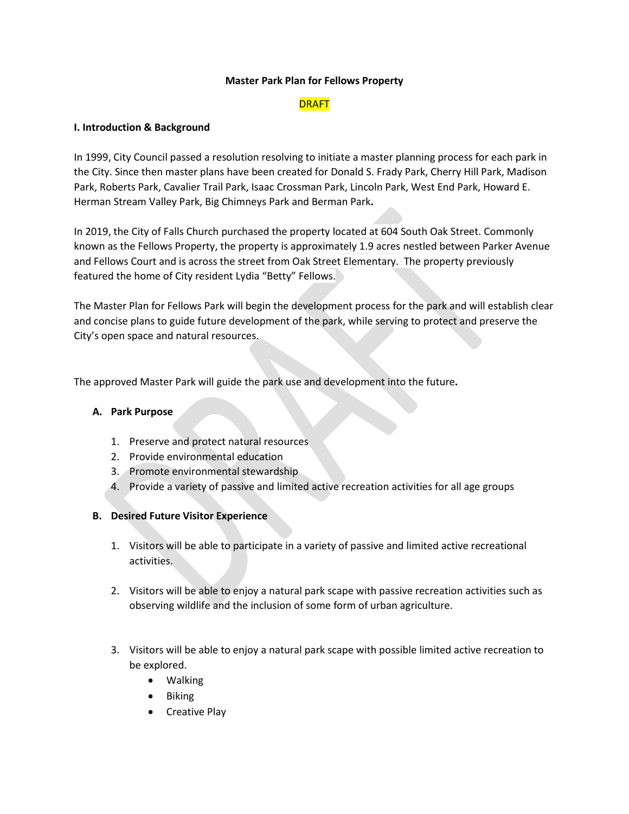### **Master Park Plan for Fellows Property**

# **DRAFT**

### **I. Introduction & Background**

In 1999, City Council passed a resolution resolving to initiate a master planning process for each park in the City. Since then master plans have been created for Donald S. Frady Park, Cherry Hill Park, Madison Park, Roberts Park, Cavalier Trail Park, Isaac Crossman Park, Lincoln Park, West End Park, Howard E. Herman Stream Valley Park, Big Chimneys Park and Berman Park**.** 

In 2019, the City of Falls Church purchased the property located at 604 South Oak Street. Commonly known as the Fellows Property, the property is approximately 1.9 acres nestled between Parker Avenue and Fellows Court and is across the street from Oak Street Elementary. The property previously featured the home of City resident Lydia "Betty" Fellows.

The Master Plan for Fellows Park will begin the development process for the park and will establish clear and concise plans to guide future development of the park, while serving to protect and preserve the City's open space and natural resources.

The approved Master Park will guide the park use and development into the future**.**

# **A. Park Purpose**

- 1. Preserve and protect natural resources
- 2. Provide environmental education
- 3. Promote environmental stewardship
- 4. Provide a variety of passive and limited active recreation activities for all age groups

# **B. Desired Future Visitor Experience**

- 1. Visitors will be able to participate in a variety of passive and limited active recreational activities.
- 2. Visitors will be able to enjoy a natural park scape with passive recreation activities such as observing wildlife and the inclusion of some form of urban agriculture.
- 3. Visitors will be able to enjoy a natural park scape with possible limited active recreation to be explored.
	- Walking
	- Biking
	- Creative Play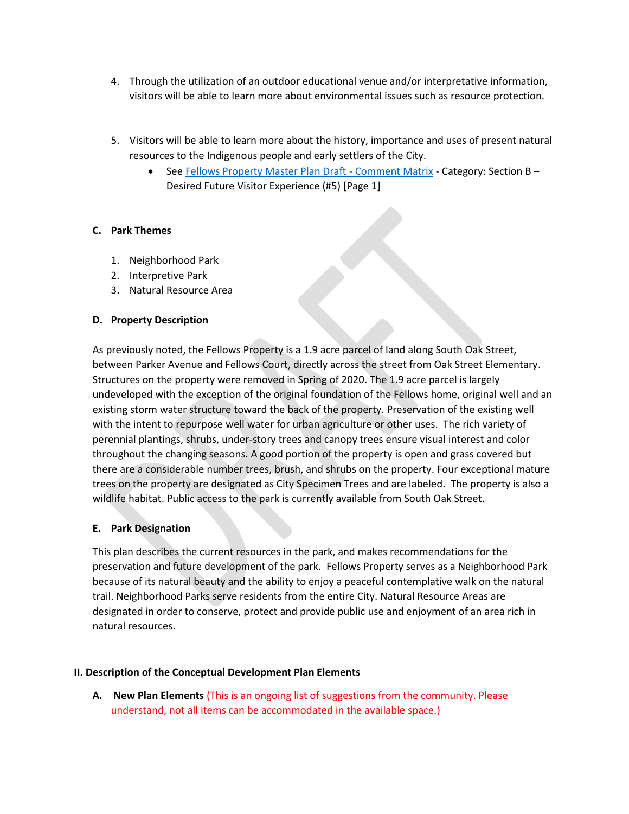- 4. Through the utilization of an outdoor educational venue and/or interpretative information, visitors will be able to learn more about environmental issues such as resource protection.
- 5. Visitors will be able to learn more about the history, importance and uses of present natural resources to the Indigenous people and early settlers of the City.
	- Se[e Fellows Property Master Plan Draft -](https://www.fallschurchva.gov/DocumentCenter/View/15472/Fellows-Property-Master-Plan-Draft---Comment-Matrix) Comment Matrix Category: Section B -Desired Future Visitor Experience (#5) [Page 1]

# **C. Park Themes**

- 1. Neighborhood Park
- 2. Interpretive Park
- 3. Natural Resource Area

# **D. Property Description**

As previously noted, the Fellows Property is a 1.9 acre parcel of land along South Oak Street, between Parker Avenue and Fellows Court, directly across the street from Oak Street Elementary. Structures on the property were removed in Spring of 2020. The 1.9 acre parcel is largely undeveloped with the exception of the original foundation of the Fellows home, original well and an existing storm water structure toward the back of the property. Preservation of the existing well with the intent to repurpose well water for urban agriculture or other uses. The rich variety of perennial plantings, shrubs, under-story trees and canopy trees ensure visual interest and color throughout the changing seasons. A good portion of the property is open and grass covered but there are a considerable number trees, brush, and shrubs on the property. Four exceptional mature trees on the property are designated as City Specimen Trees and are labeled. The property is also a wildlife habitat. Public access to the park is currently available from South Oak Street.

# **E. Park Designation**

This plan describes the current resources in the park, and makes recommendations for the preservation and future development of the park. Fellows Property serves as a Neighborhood Park because of its natural beauty and the ability to enjoy a peaceful contemplative walk on the natural trail. Neighborhood Parks serve residents from the entire City. Natural Resource Areas are designated in order to conserve, protect and provide public use and enjoyment of an area rich in natural resources.

# **II. Description of the Conceptual Development Plan Elements**

**A. New Plan Elements** (This is an ongoing list of suggestions from the community. Please understand, not all items can be accommodated in the available space.)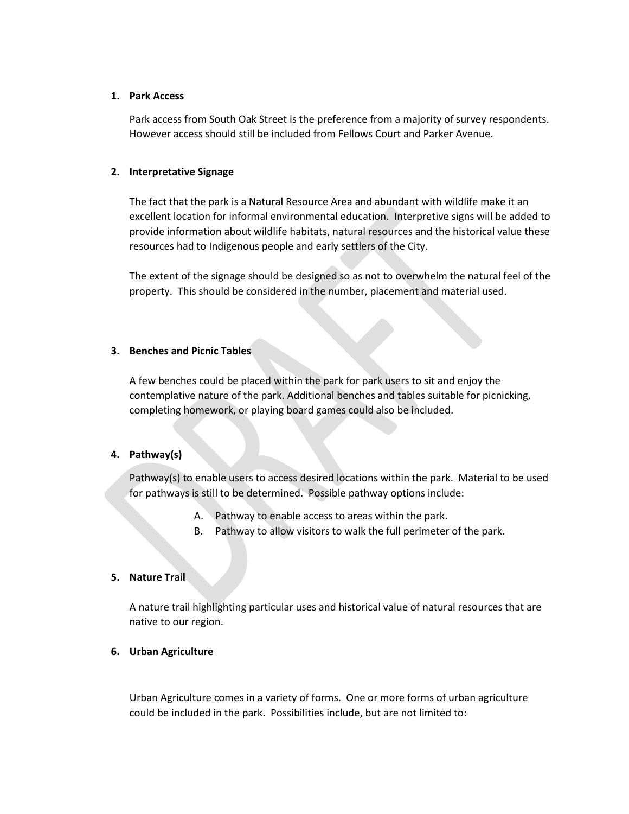### **1. Park Access**

Park access from South Oak Street is the preference from a majority of survey respondents. However access should still be included from Fellows Court and Parker Avenue.

# **2. Interpretative Signage**

The fact that the park is a Natural Resource Area and abundant with wildlife make it an excellent location for informal environmental education. Interpretive signs will be added to provide information about wildlife habitats, natural resources and the historical value these resources had to Indigenous people and early settlers of the City.

The extent of the signage should be designed so as not to overwhelm the natural feel of the property. This should be considered in the number, placement and material used.

### **3. Benches and Picnic Tables**

A few benches could be placed within the park for park users to sit and enjoy the contemplative nature of the park. Additional benches and tables suitable for picnicking, completing homework, or playing board games could also be included.

# **4. Pathway(s)**

Pathway(s) to enable users to access desired locations within the park. Material to be used for pathways is still to be determined. Possible pathway options include:

- A. Pathway to enable access to areas within the park.
- B. Pathway to allow visitors to walk the full perimeter of the park.

#### **5. Nature Trail**

A nature trail highlighting particular uses and historical value of natural resources that are native to our region.

### **6. Urban Agriculture**

Urban Agriculture comes in a variety of forms. One or more forms of urban agriculture could be included in the park. Possibilities include, but are not limited to: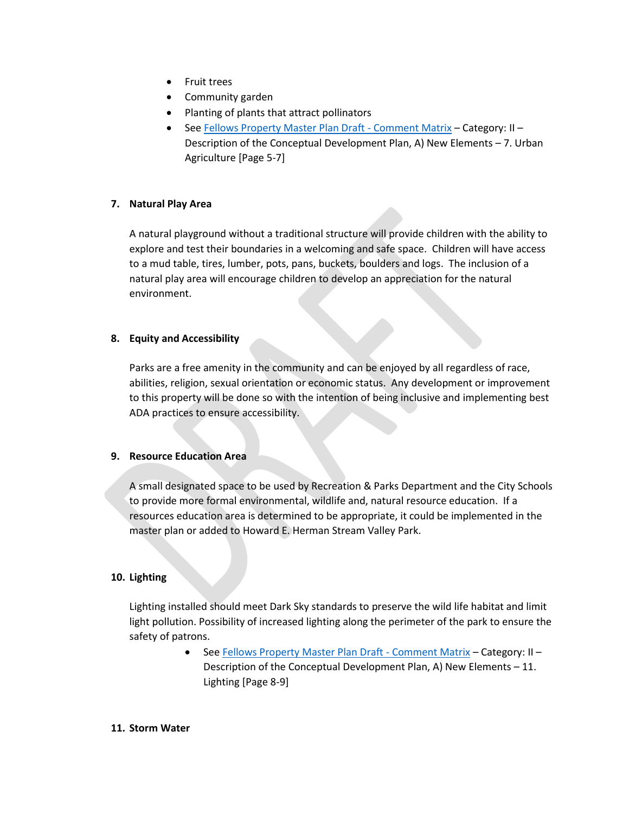- Fruit trees
- Community garden
- Planting of plants that attract pollinators
- Se[e Fellows Property Master Plan Draft -](https://www.fallschurchva.gov/DocumentCenter/View/15472/Fellows-Property-Master-Plan-Draft---Comment-Matrix) Comment Matrix Category: II Description of the Conceptual Development Plan, A) New Elements – 7. Urban Agriculture [Page 5-7]

# **7. Natural Play Area**

A natural playground without a traditional structure will provide children with the ability to explore and test their boundaries in a welcoming and safe space. Children will have access to a mud table, tires, lumber, pots, pans, buckets, boulders and logs. The inclusion of a natural play area will encourage children to develop an appreciation for the natural environment.

# **8. Equity and Accessibility**

Parks are a free amenity in the community and can be enjoyed by all regardless of race, abilities, religion, sexual orientation or economic status. Any development or improvement to this property will be done so with the intention of being inclusive and implementing best ADA practices to ensure accessibility.

# **9. Resource Education Area**

A small designated space to be used by Recreation & Parks Department and the City Schools to provide more formal environmental, wildlife and, natural resource education. If a resources education area is determined to be appropriate, it could be implemented in the master plan or added to Howard E. Herman Stream Valley Park.

# **10. Lighting**

Lighting installed should meet Dark Sky standards to preserve the wild life habitat and limit light pollution. Possibility of increased lighting along the perimeter of the park to ensure the safety of patrons.

> • Se[e Fellows Property Master Plan Draft -](https://www.fallschurchva.gov/DocumentCenter/View/15472/Fellows-Property-Master-Plan-Draft---Comment-Matrix) Comment Matrix - Category: II -Description of the Conceptual Development Plan, A) New Elements – 11. Lighting [Page 8-9]

#### **11. Storm Water**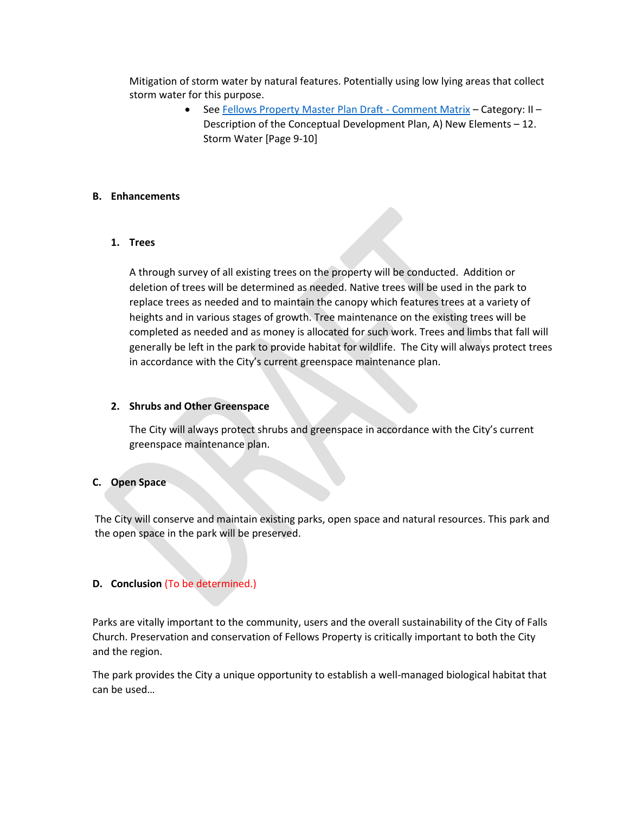Mitigation of storm water by natural features. Potentially using low lying areas that collect storm water for this purpose.

> Se[e Fellows Property Master Plan Draft -](https://www.fallschurchva.gov/DocumentCenter/View/15472/Fellows-Property-Master-Plan-Draft---Comment-Matrix) Comment Matrix – Category: II – Description of the Conceptual Development Plan, A) New Elements – 12. Storm Water [Page 9-10]

### **B. Enhancements**

# **1. Trees**

A through survey of all existing trees on the property will be conducted. Addition or deletion of trees will be determined as needed. Native trees will be used in the park to replace trees as needed and to maintain the canopy which features trees at a variety of heights and in various stages of growth. Tree maintenance on the existing trees will be completed as needed and as money is allocated for such work. Trees and limbs that fall will generally be left in the park to provide habitat for wildlife. The City will always protect trees in accordance with the City's current greenspace maintenance plan.

### **2. Shrubs and Other Greenspace**

The City will always protect shrubs and greenspace in accordance with the City's current greenspace maintenance plan.

# **C. Open Space**

The City will conserve and maintain existing parks, open space and natural resources. This park and the open space in the park will be preserved.

# **D. Conclusion** (To be determined.)

Parks are vitally important to the community, users and the overall sustainability of the City of Falls Church. Preservation and conservation of Fellows Property is critically important to both the City and the region.

The park provides the City a unique opportunity to establish a well-managed biological habitat that can be used…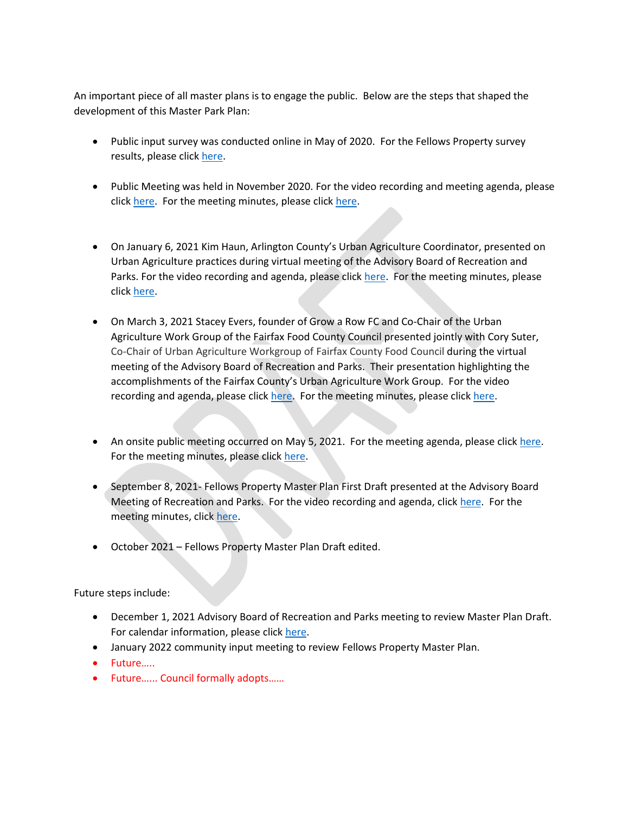An important piece of all master plans is to engage the public. Below are the steps that shaped the development of this Master Park Plan:

- Public input survey was conducted online in May of 2020. For the Fellows Property survey results, please click [here.](https://www.fallschurchva.gov/DocumentCenter/View/13094/Fellows-property-survey-results-6320?bidId=)
- Public Meeting was held in November 2020. For the video recording and meeting agenda, please click [here.](https://www.fallschurchva.gov/AgendaCenter/ViewFile/Minutes/_11042020-1664) For the meeting minutes, please click here.
- On January 6, 2021 Kim Haun, Arlington County's Urban Agriculture Coordinator, presented on Urban Agriculture practices during virtual meeting of the Advisory Board of Recreation and Parks. For the video recording and agenda, please click [here.](http://fallschurch-va.granicus.com/player/clip/1400?view_id=2&redirect=true) For the meeting minutes, please click [here.](https://www.fallschurchva.gov/AgendaCenter/ViewFile/Minutes/_01062021-1710)
- On March 3, 2021 Stacey Evers, founder of Grow a Row FC and Co-Chair of the Urban Agriculture Work Group of the Fairfax Food County Council presented jointly with Cory Suter, Co-Chair of Urban Agriculture Workgroup of Fairfax County Food Council during the virtual meeting of the Advisory Board of Recreation and Parks. Their presentation highlighting the accomplishments of the Fairfax County's Urban Agriculture Work Group. For the video recording and agenda, please click [here.](https://www.fallschurchva.gov/DocumentCenter/View/14327/0321-meeting-minutes-draft) For the meeting minutes, please click here.
- An onsite public meeting occurred on May 5, 2021. For the meeting agenda, please click [here.](https://www.fallschurchva.gov/AgendaCenter/ViewFile/Agenda/_05052021-1817) For the meeting minutes, please clic[k here.](https://www.fallschurchva.gov/AgendaCenter/ViewFile/Minutes/_05052021-1817)
- September 8, 2021- Fellows Property Master Plan First Draft presented at the Advisory Board Meeting of Recreation and Parks. For the video recording and agenda, click [here.](http://fallschurch-va.granicus.com/player/clip/1727?view_id=2&redirect=true) For the meeting minutes, click [here.](https://www.fallschurchva.gov/AgendaCenter/ViewFile/Minutes/_09082021-1891)
- October 2021 Fellows Property Master Plan Draft edited.

Future steps include:

- December 1, 2021 Advisory Board of Recreation and Parks meeting to review Master Plan Draft. For calendar information, please click [here.](https://www.fallschurchva.gov/Calendar.aspx?EID=7184&month=12&year=2021&day=1&calType=0)
- January 2022 community input meeting to review Fellows Property Master Plan.
- Future……
- Future…... Council formally adopts……